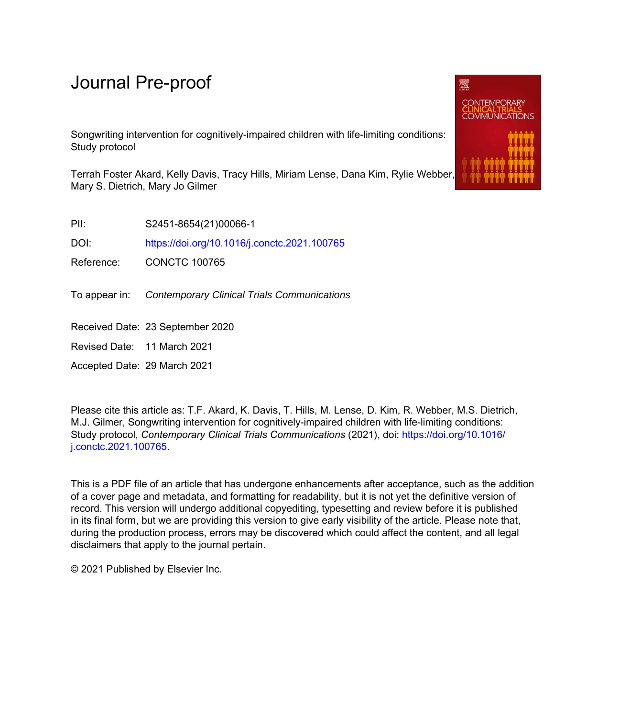# Journal Pre-proof

Songwriting intervention for cognitively-impaired children with life-limiting conditions: Study protocol

Terrah Foster Akard, Kelly Davis, Tracy Hills, Miriam Lense, Dana Kim, Rylie Webber, Mary S. Dietrich, Mary Jo Gilmer

PII: S2451-8654(21)00066-1

DOI: <https://doi.org/10.1016/j.conctc.2021.100765>

Reference: CONCTC 100765

To appear in: Contemporary Clinical Trials Communications

Received Date: 23 September 2020

Revised Date: 11 March 2021

Accepted Date: 29 March 2021

Please cite this article as: T.F. Akard, K. Davis, T. Hills, M. Lense, D. Kim, R. Webber, M.S. Dietrich, M.J. Gilmer, Songwriting intervention for cognitively-impaired children with life-limiting conditions: Study protocol, *Contemporary Clinical Trials Communications* (2021), doi: [https://doi.org/10.1016/](https://doi.org/10.1016/j.conctc.2021.100765) [j.conctc.2021.100765](https://doi.org/10.1016/j.conctc.2021.100765).

This is a PDF file of an article that has undergone enhancements after acceptance, such as the addition of a cover page and metadata, and formatting for readability, but it is not yet the definitive version of record. This version will undergo additional copyediting, typesetting and review before it is published in its final form, but we are providing this version to give early visibility of the article. Please note that, during the production process, errors may be discovered which could affect the content, and all legal disclaimers that apply to the journal pertain.

© 2021 Published by Elsevier Inc.

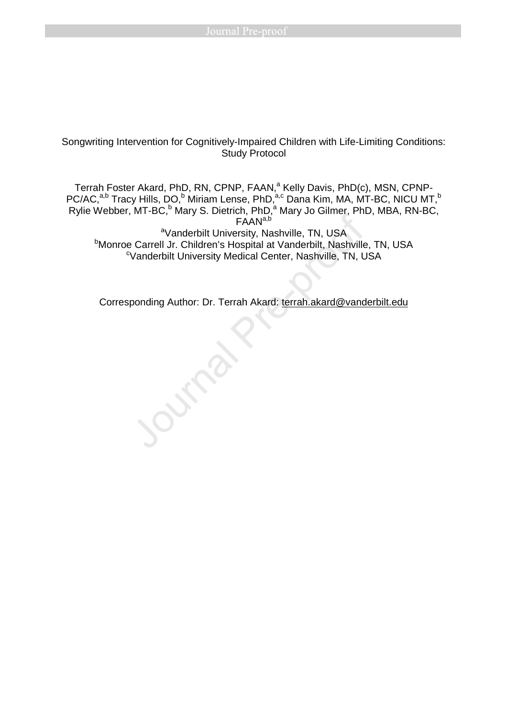# Songwriting Intervention for Cognitively-Impaired Children with Life-Limiting Conditions: Study Protocol

Terrah Foster Akard, PhD, RN, CPNP, FAAN,<sup>a</sup> Kelly Davis, PhD(c), MSN, CPNP-PC/AC,<sup>a,b</sup> Tracy Hills, DO,<sup>b</sup> Miriam Lense, PhD,<sup>a,c</sup> Dana Kim, MA, MT-BC, NICU MT,<sup>b</sup> Rylie Webber, MT-BC,<sup>b</sup> Mary S. Dietrich, PhD,<sup>a</sup> Mary Jo Gilmer, PhD, MBA, RN-BC, FAAN<sup>a,b</sup> aVanderbilt University, Nashville, TN, USA

**Monroe Carrell Jr. Children's Hospital at Vanderbilt, Nashville, TN, USA** <sup>c</sup>Vanderbilt University Medical Center, Nashville, TN, USA

Corresponding Author: Dr. Terrah Akard: terrah.akard@vanderbilt.edu<br>Journal Pre-proof<br>Journal Pre-proof<br>Journal Pre-proof<br>Journal Pre-proof<br>Journal Pre-proof<br>Journal Pre-proof<br>Journal Pre-proof<br>Journal Pre-proof<br>Journal Pr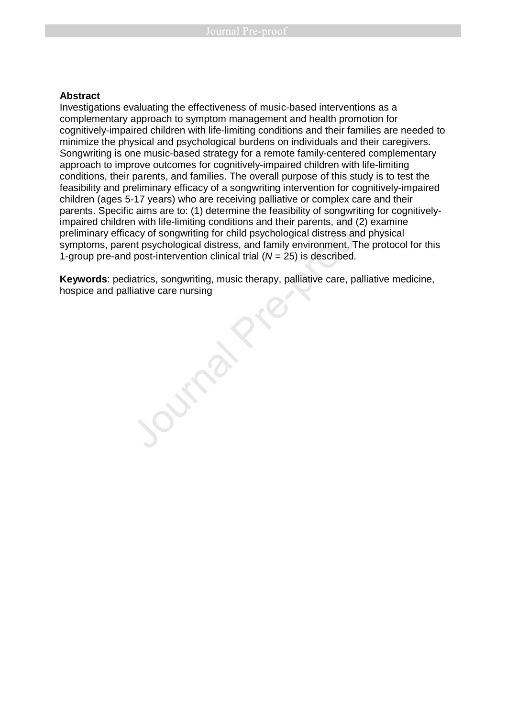## **Abstract**

Investigations evaluating the effectiveness of music-based interventions as a complementary approach to symptom management and health promotion for cognitively-impaired children with life-limiting conditions and their families are needed to minimize the physical and psychological burdens on individuals and their caregivers. Songwriting is one music-based strategy for a remote family-centered complementary approach to improve outcomes for cognitively-impaired children with life-limiting conditions, their parents, and families. The overall purpose of this study is to test the feasibility and preliminary efficacy of a songwriting intervention for cognitively-impaired children (ages 5-17 years) who are receiving palliative or complex care and their parents. Specific aims are to: (1) determine the feasibility of songwriting for cognitivelyimpaired children with life-limiting conditions and their parents, and (2) examine preliminary efficacy of songwriting for child psychological distress and physical symptoms, parent psychological distress, and family environment. The protocol for this 1-group pre-and post-intervention clinical trial  $(N = 25)$  is described. paramide children with life-limiting conditions and their parents, and (2) preliminary efficacy of songwriting conditions and their parents, and (2) preliminary efficacy of songwriting conditions and their parents, and (2)

**Keywords**: pediatrics, songwriting, music therapy, palliative care, palliative medicine,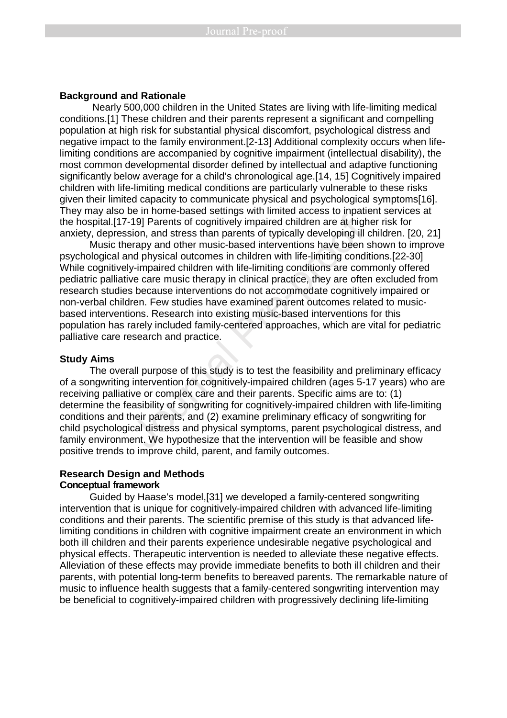#### **Background and Rationale**

 Nearly 500,000 children in the United States are living with life-limiting medical conditions.[1] These children and their parents represent a significant and compelling population at high risk for substantial physical discomfort, psychological distress and negative impact to the family environment.[2-13] Additional complexity occurs when lifelimiting conditions are accompanied by cognitive impairment (intellectual disability), the most common developmental disorder defined by intellectual and adaptive functioning significantly below average for a child's chronological age.[14, 15] Cognitively impaired children with life-limiting medical conditions are particularly vulnerable to these risks given their limited capacity to communicate physical and psychological symptoms[16]. They may also be in home-based settings with limited access to inpatient services at the hospital.[17-19] Parents of cognitively impaired children are at higher risk for anxiety, depression, and stress than parents of typically developing ill children. [20, 21]

Music therapy and other music-based interventions have been shown to improve psychological and physical outcomes in children with life-limiting conditions.[22-30] While cognitively-impaired children with life-limiting conditions are commonly offered pediatric palliative care music therapy in clinical practice, they are often excluded from research studies because interventions do not accommodate cognitively impaired or non-verbal children. Few studies have examined parent outcomes related to musicbased interventions. Research into existing music-based interventions for this population has rarely included family-centered approaches, which are vital for pediatric palliative care research and practice. So a minimal subset of cognitively impaired children are at high angles of cognitively impaired children are at high<br>ion, and stress than parents of typically developing ill<br>rapy and other music-based interventions have be

## **Study Aims**

The overall purpose of this study is to test the feasibility and preliminary efficacy of a songwriting intervention for cognitively-impaired children (ages 5-17 years) who are receiving palliative or complex care and their parents. Specific aims are to: (1) determine the feasibility of songwriting for cognitively-impaired children with life-limiting conditions and their parents, and (2) examine preliminary efficacy of songwriting for child psychological distress and physical symptoms, parent psychological distress, and family environment. We hypothesize that the intervention will be feasible and show positive trends to improve child, parent, and family outcomes.

### **Research Design and Methods Conceptual framework**

Guided by Haase's model,[31] we developed a family-centered songwriting intervention that is unique for cognitively-impaired children with advanced life-limiting conditions and their parents. The scientific premise of this study is that advanced lifelimiting conditions in children with cognitive impairment create an environment in which both ill children and their parents experience undesirable negative psychological and physical effects. Therapeutic intervention is needed to alleviate these negative effects. Alleviation of these effects may provide immediate benefits to both ill children and their parents, with potential long-term benefits to bereaved parents. The remarkable nature of music to influence health suggests that a family-centered songwriting intervention may be beneficial to cognitively-impaired children with progressively declining life-limiting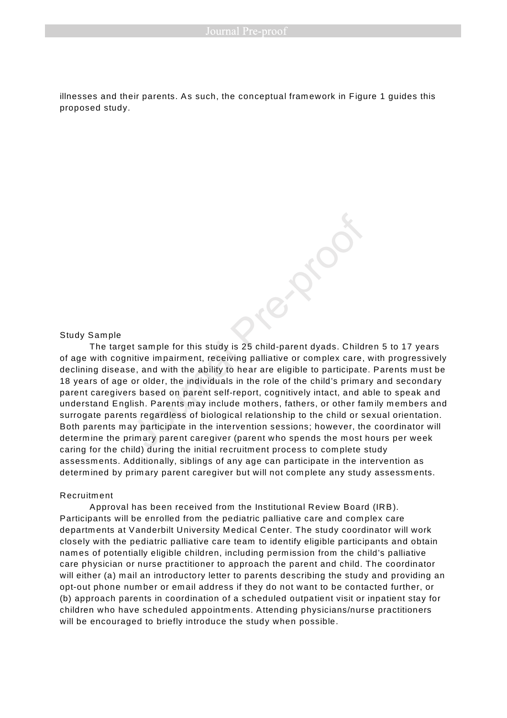illnesses and their parents. As such, the conceptual fram ework in Figure 1 guides this proposed study.

#### Study Sample

The target sam ple for this study is 25 child-parent dyads. Children 5 to 17 years of age with cognitive im pairm ent, receiving palliative or com plex care, with progressively declining disease, and with the ability to hear are eligible to participate. Parents m ust be 18 years of age or older, the individuals in the role of the child's primary and secondary parent caregivers based on parent self-report, cognitively intact, and able to speak and understand English. Parents may include mothers, fathers, or other family members and surrogate parents regardless of biological relationship to the child or sexual orientation. Both parents m ay participate in the intervention sessions; however, the coordinator will determine the primary parent caregiver (parent who spends the most hours per week caring for the child) during the initial recruitm ent process to com plete study assessm ents. Additionally, siblings of any age can participate in the intervention as determined by primary parent caregiver but will not complete any study assessments. example for this study is 25 child-parent dyads. Child<br>itive impairment, receiving palliative or complex care,<br>e, and with the ability to hear are eligible to participate<br>or older, the individuals in the role of the child'

#### Recruitm ent

Approval has been received from the Institutional Review Board (IRB). Participants will be enrolled from the pediatric palliative care and com plex care departm ents at Vanderbilt University M edical Center. The study coordinator will work closely with the pediatric palliative care team to identify eligible participants and obtain nam es of potentially eligible children, including perm ission from the child's palliative care physician or nurse practitioner to approach the parent and child. The coordinator will either (a) mail an introductory letter to parents describing the study and providing an opt-out phone num ber or em ail address if they do not want to be contacted further, or (b) approach parents in coordination of a scheduled outpatient visit or inpatient stay for children who have scheduled appointm ents. Attending physicians/nurse practitioners will be encouraged to briefly introduce the study when possible.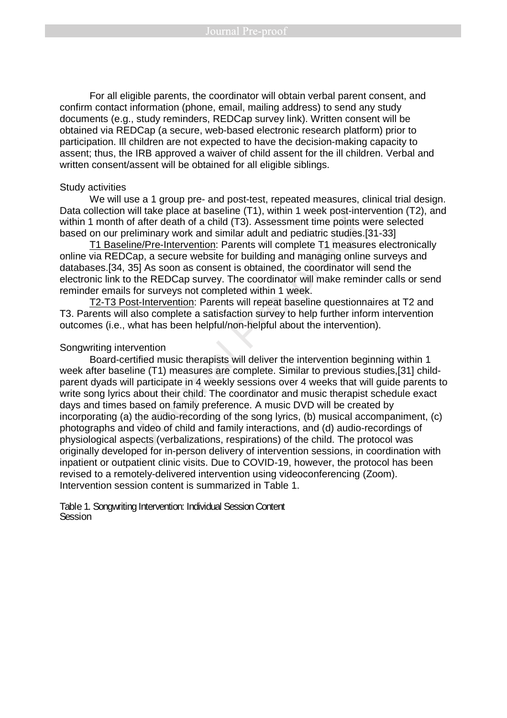For all eligible parents, the coordinator will obtain verbal parent consent, and confirm contact information (phone, email, mailing address) to send any study documents (e.g., study reminders, REDCap survey link). Written consent will be obtained via REDCap (a secure, web-based electronic research platform) prior to participation. Ill children are not expected to have the decision-making capacity to assent; thus, the IRB approved a waiver of child assent for the ill children. Verbal and written consent/assent will be obtained for all eligible siblings.

#### Study activities

We will use a 1 group pre- and post-test, repeated measures, clinical trial design. Data collection will take place at baseline (T1), within 1 week post-intervention (T2), and within 1 month of after death of a child (T3). Assessment time points were selected based on our preliminary work and similar adult and pediatric studies.[31-33]

T1 Baseline/Pre-Intervention: Parents will complete T1 measures electronically online via REDCap, a secure website for building and managing online surveys and databases.[34, 35] As soon as consent is obtained, the coordinator will send the electronic link to the REDCap survey. The coordinator will make reminder calls or send reminder emails for surveys not completed within 1 week.

T2-T3 Post-Intervention: Parents will repeat baseline questionnaires at T2 and T3. Parents will also complete a satisfaction survey to help further inform intervention outcomes (i.e., what has been helpful/non-helpful about the intervention).

## Songwriting intervention

 Board-certified music therapists will deliver the intervention beginning within 1 week after baseline (T1) measures are complete. Similar to previous studies,[31] childparent dyads will participate in 4 weekly sessions over 4 weeks that will guide parents to write song lyrics about their child. The coordinator and music therapist schedule exact days and times based on family preference. A music DVD will be created by incorporating (a) the audio-recording of the song lyrics, (b) musical accompaniment, (c) photographs and video of child and family interactions, and (d) audio-recordings of physiological aspects (verbalizations, respirations) of the child. The protocol was originally developed for in-person delivery of intervention sessions, in coordination with inpatient or outpatient clinic visits. Due to COVID-19, however, the protocol has been revised to a remotely-delivered intervention using videoconferencing (Zoom). Intervention session content is summarized in Table 1. which the place of subsidiary (117), when in the prior theories the control of a fair death of a child (T3). Assessment time points well eliminary work and similar adult and pediatric studies. [ine/Pre-Intervention: Parent

#### Table 1. Songwriting Intervention: Individual Session Content **Session**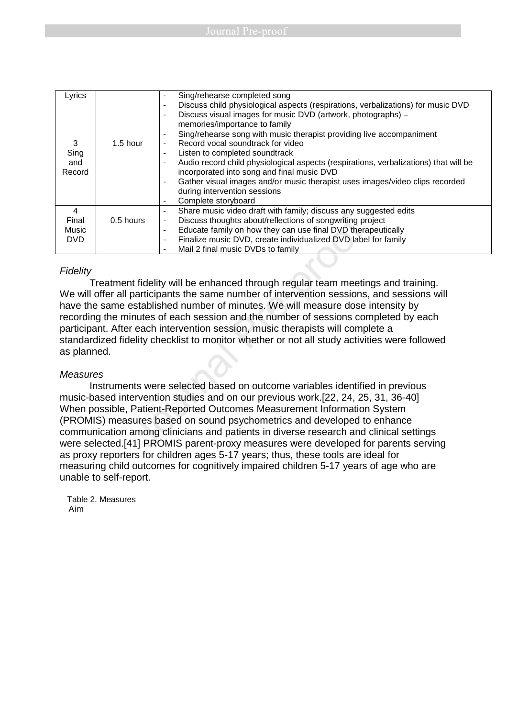| Lyrics     |            | Sing/rehearse completed song<br>$\blacksquare$                                                                   |
|------------|------------|------------------------------------------------------------------------------------------------------------------|
|            |            | Discuss child physiological aspects (respirations, verbalizations) for music DVD<br>$\overline{\phantom{0}}$     |
|            |            | Discuss visual images for music DVD (artwork, photographs) -<br>$\overline{\phantom{0}}$                         |
|            |            | memories/importance to family                                                                                    |
|            |            | Sing/rehearse song with music therapist providing live accompaniment<br>$\blacksquare$                           |
| 3          | $1.5$ hour | Record vocal soundtrack for video<br>$\overline{a}$                                                              |
| Sing       |            | Listen to completed soundtrack<br>$\blacksquare$                                                                 |
| and        |            | Audio record child physiological aspects (respirations, verbalizations) that will be<br>$\overline{\phantom{0}}$ |
| Record     |            | incorporated into song and final music DVD                                                                       |
|            |            | Gather visual images and/or music therapist uses images/video clips recorded<br>$\overline{a}$                   |
|            |            | during intervention sessions                                                                                     |
|            |            | Complete storyboard<br>$\overline{\phantom{0}}$                                                                  |
| 4          |            | Share music video draft with family; discuss any suggested edits<br>-                                            |
| Final      | 0.5 hours  | Discuss thoughts about/reflections of songwriting project<br>-                                                   |
| Music      |            | Educate family on how they can use final DVD therapeutically<br>$\blacksquare$                                   |
| <b>DVD</b> |            | Finalize music DVD, create individualized DVD label for family<br>$\overline{a}$                                 |
|            |            | Mail 2 final music DVDs to family<br>$\overline{\phantom{0}}$                                                    |

## **Fidelity**

Treatment fidelity will be enhanced through regular team meetings and training. We will offer all participants the same number of intervention sessions, and sessions will have the same established number of minutes. We will measure dose intensity by recording the minutes of each session and the number of sessions completed by each participant. After each intervention session, music therapists will complete a standardized fidelity checklist to monitor whether or not all study activities were followed as planned. ours<br>
Discuss thoughts about/reflections of songwriting pre-<br>
Discuss thoughts about/reflections of songwriting pre-<br>
Educate family on how they can use final DVD there<br>
- Finalize music DVD, create individualized DVD labe

## **Measures**

Instruments were selected based on outcome variables identified in previous music-based intervention studies and on our previous work.[22, 24, 25, 31, 36-40] When possible, Patient-Reported Outcomes Measurement Information System (PROMIS) measures based on sound psychometrics and developed to enhance communication among clinicians and patients in diverse research and clinical settings were selected.[41] PROMIS parent-proxy measures were developed for parents serving as proxy reporters for children ages 5-17 years; thus, these tools are ideal for measuring child outcomes for cognitively impaired children 5-17 years of age who are unable to self-report.

Table 2. Measures Aim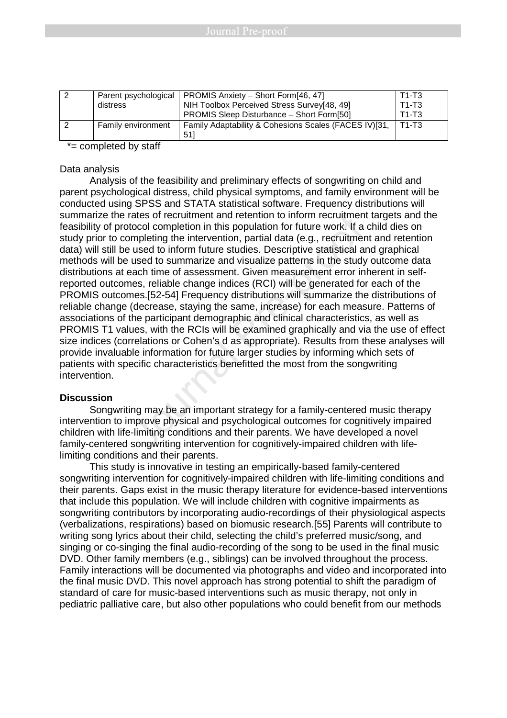| -2 | Parent psychological | <b>PROMIS Anxiety – Short Form[46, 47]</b>            | $T1-T3$ |
|----|----------------------|-------------------------------------------------------|---------|
|    | distress             | NIH Toolbox Perceived Stress Survey[48, 49]           | $T1-T3$ |
|    |                      | <b>PROMIS Sleep Disturbance – Short Form[50]</b>      | $T1-T3$ |
|    | Family environment   | Family Adaptability & Cohesions Scales (FACES IV)[31, | T1-T3   |
|    |                      | 511                                                   |         |

\*= completed by staff

## Data analysis

Analysis of the feasibility and preliminary effects of songwriting on child and parent psychological distress, child physical symptoms, and family environment will be conducted using SPSS and STATA statistical software. Frequency distributions will summarize the rates of recruitment and retention to inform recruitment targets and the feasibility of protocol completion in this population for future work. If a child dies on study prior to completing the intervention, partial data (e.g., recruitment and retention data) will still be used to inform future studies. Descriptive statistical and graphical methods will be used to summarize and visualize patterns in the study outcome data distributions at each time of assessment. Given measurement error inherent in selfreported outcomes, reliable change indices (RCI) will be generated for each of the PROMIS outcomes.[52-54] Frequency distributions will summarize the distributions of reliable change (decrease, staying the same, increase) for each measure. Patterns of associations of the participant demographic and clinical characteristics, as well as PROMIS T1 values, with the RCIs will be examined graphically and via the use of effect size indices (correlations or Cohen's d as appropriate). Results from these analyses will provide invaluable information for future larger studies by informing which sets of patients with specific characteristics benefitted the most from the songwriting intervention. rates of recruitment and retention to inform recruitment<br>tocol completion in this population for future work. If a<br>mpleting the intervention, partial data (e.g., recruitmer<br>used to inform future studies. Descriptive statis

## **Discussion**

Songwriting may be an important strategy for a family-centered music therapy intervention to improve physical and psychological outcomes for cognitively impaired children with life-limiting conditions and their parents. We have developed a novel family-centered songwriting intervention for cognitively-impaired children with lifelimiting conditions and their parents.

 This study is innovative in testing an empirically-based family-centered songwriting intervention for cognitively-impaired children with life-limiting conditions and their parents. Gaps exist in the music therapy literature for evidence-based interventions that include this population. We will include children with cognitive impairments as songwriting contributors by incorporating audio-recordings of their physiological aspects (verbalizations, respirations) based on biomusic research.[55] Parents will contribute to writing song lyrics about their child, selecting the child's preferred music/song, and singing or co-singing the final audio-recording of the song to be used in the final music DVD. Other family members (e.g., siblings) can be involved throughout the process. Family interactions will be documented via photographs and video and incorporated into the final music DVD. This novel approach has strong potential to shift the paradigm of standard of care for music-based interventions such as music therapy, not only in pediatric palliative care, but also other populations who could benefit from our methods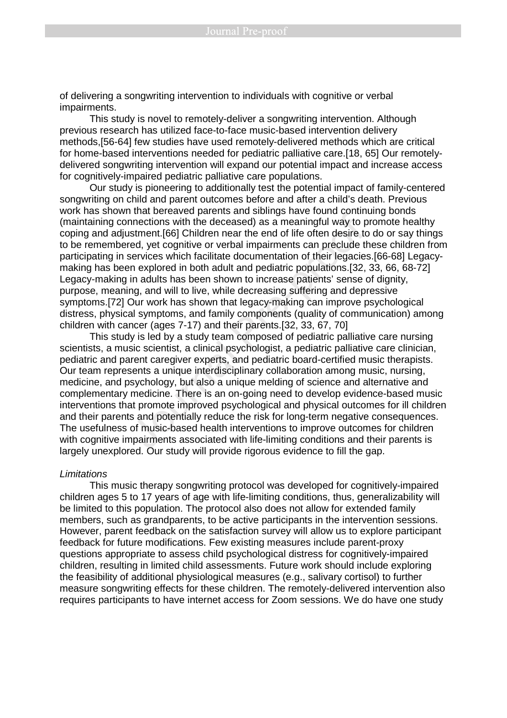of delivering a songwriting intervention to individuals with cognitive or verbal impairments.

 This study is novel to remotely-deliver a songwriting intervention. Although previous research has utilized face-to-face music-based intervention delivery methods,[56-64] few studies have used remotely-delivered methods which are critical for home-based interventions needed for pediatric palliative care.[18, 65] Our remotelydelivered songwriting intervention will expand our potential impact and increase access for cognitively-impaired pediatric palliative care populations.

 Our study is pioneering to additionally test the potential impact of family-centered songwriting on child and parent outcomes before and after a child's death. Previous work has shown that bereaved parents and siblings have found continuing bonds (maintaining connections with the deceased) as a meaningful way to promote healthy coping and adjustment.[66] Children near the end of life often desire to do or say things to be remembered, yet cognitive or verbal impairments can preclude these children from participating in services which facilitate documentation of their legacies.[66-68] Legacymaking has been explored in both adult and pediatric populations.[32, 33, 66, 68-72] Legacy-making in adults has been shown to increase patients' sense of dignity, purpose, meaning, and will to live, while decreasing suffering and depressive symptoms.[72] Our work has shown that legacy-making can improve psychological distress, physical symptoms, and family components (quality of communication) among children with cancer (ages 7-17) and their parents.[32, 33, 67, 70] Firstname and sometions with the decased) as a meaningful way to pre-<br>innections with the decased) as a meaningful way to performent.[66] Children near the end of life often desire ted, yet cognitive or verbal impairments

 This study is led by a study team composed of pediatric palliative care nursing scientists, a music scientist, a clinical psychologist, a pediatric palliative care clinician, pediatric and parent caregiver experts, and pediatric board-certified music therapists. Our team represents a unique interdisciplinary collaboration among music, nursing, medicine, and psychology, but also a unique melding of science and alternative and complementary medicine. There is an on-going need to develop evidence-based music interventions that promote improved psychological and physical outcomes for ill children and their parents and potentially reduce the risk for long-term negative consequences. The usefulness of music-based health interventions to improve outcomes for children with cognitive impairments associated with life-limiting conditions and their parents is largely unexplored. Our study will provide rigorous evidence to fill the gap.

#### **Limitations**

 This music therapy songwriting protocol was developed for cognitively-impaired children ages 5 to 17 years of age with life-limiting conditions, thus, generalizability will be limited to this population. The protocol also does not allow for extended family members, such as grandparents, to be active participants in the intervention sessions. However, parent feedback on the satisfaction survey will allow us to explore participant feedback for future modifications. Few existing measures include parent-proxy questions appropriate to assess child psychological distress for cognitively-impaired children, resulting in limited child assessments. Future work should include exploring the feasibility of additional physiological measures (e.g., salivary cortisol) to further measure songwriting effects for these children. The remotely-delivered intervention also requires participants to have internet access for Zoom sessions. We do have one study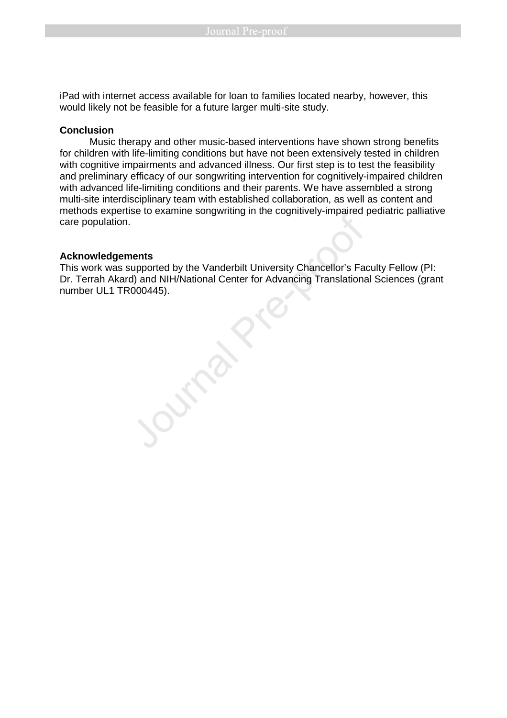iPad with internet access available for loan to families located nearby, however, this would likely not be feasible for a future larger multi-site study.

## **Conclusion**

 Music therapy and other music-based interventions have shown strong benefits for children with life-limiting conditions but have not been extensively tested in children with cognitive impairments and advanced illness. Our first step is to test the feasibility and preliminary efficacy of our songwriting intervention for cognitively-impaired children with advanced life-limiting conditions and their parents. We have assembled a strong multi-site interdisciplinary team with established collaboration, as well as content and methods expertise to examine songwriting in the cognitively-impaired pediatric palliative care population.

## **Acknowledgements**

This work was supported by the Vanderbilt University Chancellor's Faculty Fellow (PI: Dr. Terrah Akard) and NIH/National Center for Advancing Translational Sciences (grant number UL1 TR000445).

Macknowledgements<br>Direction Contains the Vanderbilt University Chancellor's Factor<br>This work was supported by the Vanderbilt University Chancellor's Factor.<br>Terrah Akard) and NIH/National Center for Advancing Translations<br>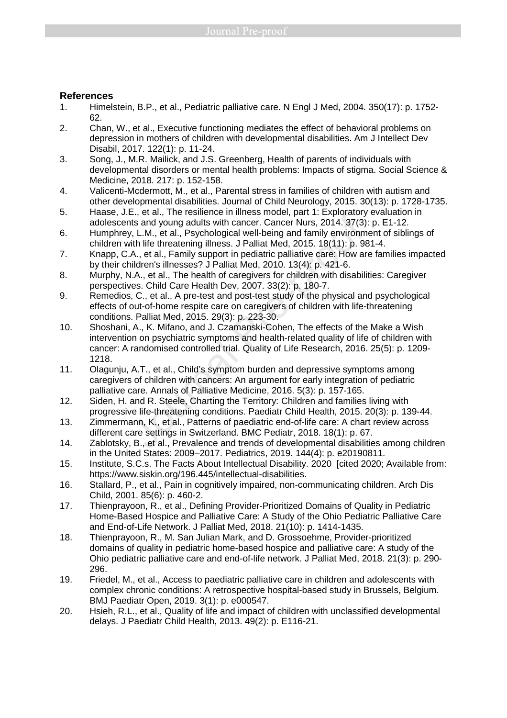## **References**

- 1. Himelstein, B.P., et al., Pediatric palliative care. N Engl J Med, 2004. 350(17): p. 1752- 62.
- 2. Chan, W., et al., Executive functioning mediates the effect of behavioral problems on depression in mothers of children with developmental disabilities. Am J Intellect Dev Disabil, 2017. 122(1): p. 11-24.
- 3. Song, J., M.R. Mailick, and J.S. Greenberg, Health of parents of individuals with developmental disorders or mental health problems: Impacts of stigma. Social Science & Medicine, 2018. 217: p. 152-158.
- 4. Valicenti-Mcdermott, M., et al., Parental stress in families of children with autism and other developmental disabilities. Journal of Child Neurology, 2015. 30(13): p. 1728-1735.
- 5. Haase, J.E., et al., The resilience in illness model, part 1: Exploratory evaluation in adolescents and young adults with cancer. Cancer Nurs, 2014. 37(3): p. E1-12.
- 6. Humphrey, L.M., et al., Psychological well-being and family environment of siblings of children with life threatening illness. J Palliat Med, 2015. 18(11): p. 981-4.
- 7. Knapp, C.A., et al., Family support in pediatric palliative care: How are families impacted by their children's illnesses? J Palliat Med, 2010. 13(4): p. 421-6.
- 8. Murphy, N.A., et al., The health of caregivers for children with disabilities: Caregiver perspectives. Child Care Health Dev, 2007. 33(2): p. 180-7.
- 9. Remedios, C., et al., A pre-test and post-test study of the physical and psychological effects of out-of-home respite care on caregivers of children with life-threatening conditions. Palliat Med, 2015. 29(3): p. 223-30.
- 10. Shoshani, A., K. Mifano, and J. Czamanski-Cohen, The effects of the Make a Wish intervention on psychiatric symptoms and health-related quality of life of children with cancer: A randomised controlled trial. Quality of Life Research, 2016. 25(5): p. 1209- 1218. E., et al., rie resimine in imess model, part 1. Exploratory<br>this and young adults with cancer. Cancer Nurs, 2014. 37(3)<br>t, L.M., et al., Psychological well-being and family environm<br>ith life threatening illness. J Palliat
- 11. Olagunju, A.T., et al., Child's symptom burden and depressive symptoms among caregivers of children with cancers: An argument for early integration of pediatric palliative care. Annals of Palliative Medicine, 2016. 5(3): p. 157-165.
- 12. Siden, H. and R. Steele, Charting the Territory: Children and families living with progressive life-threatening conditions. Paediatr Child Health, 2015. 20(3): p. 139-44.
- 13. Zimmermann, K., et al., Patterns of paediatric end-of-life care: A chart review across different care settings in Switzerland. BMC Pediatr, 2018. 18(1): p. 67.
- 14. Zablotsky, B., et al., Prevalence and trends of developmental disabilities among children in the United States: 2009–2017. Pediatrics, 2019. 144(4): p. e20190811.
- 15. Institute, S.C.s. The Facts About Intellectual Disability. 2020 [cited 2020; Available from: https://www.siskin.org/196.445/intellectual-disabilities.
- 16. Stallard, P., et al., Pain in cognitively impaired, non-communicating children. Arch Dis Child, 2001. 85(6): p. 460-2.
- 17. Thienprayoon, R., et al., Defining Provider-Prioritized Domains of Quality in Pediatric Home-Based Hospice and Palliative Care: A Study of the Ohio Pediatric Palliative Care and End-of-Life Network. J Palliat Med, 2018. 21(10): p. 1414-1435.
- 18. Thienprayoon, R., M. San Julian Mark, and D. Grossoehme, Provider-prioritized domains of quality in pediatric home-based hospice and palliative care: A study of the Ohio pediatric palliative care and end-of-life network. J Palliat Med, 2018. 21(3): p. 290- 296.
- 19. Friedel, M., et al., Access to paediatric palliative care in children and adolescents with complex chronic conditions: A retrospective hospital-based study in Brussels, Belgium. BMJ Paediatr Open, 2019. 3(1): p. e000547.
- 20. Hsieh, R.L., et al., Quality of life and impact of children with unclassified developmental delays. J Paediatr Child Health, 2013. 49(2): p. E116-21.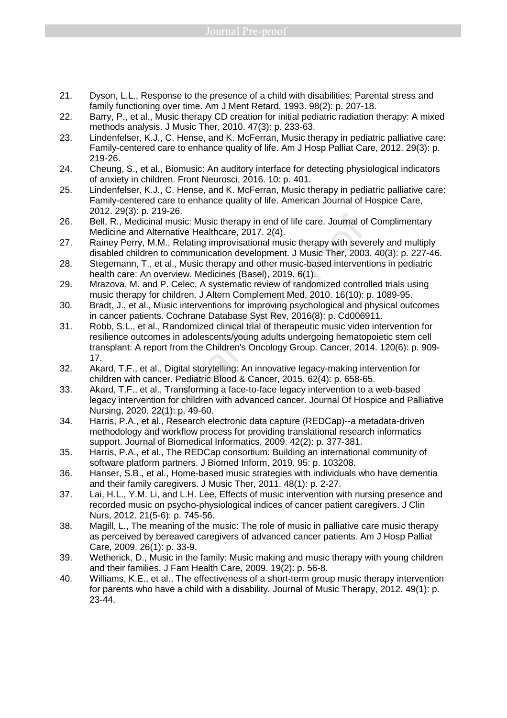- 21. Dyson, L.L., Response to the presence of a child with disabilities: Parental stress and family functioning over time. Am J Ment Retard, 1993. 98(2): p. 207-18.
- 22. Barry, P., et al., Music therapy CD creation for initial pediatric radiation therapy: A mixed methods analysis. J Music Ther, 2010. 47(3): p. 233-63.
- 23. Lindenfelser, K.J., C. Hense, and K. McFerran, Music therapy in pediatric palliative care: Family-centered care to enhance quality of life. Am J Hosp Palliat Care, 2012. 29(3): p. 219-26.
- 24. Cheung, S., et al., Biomusic: An auditory interface for detecting physiological indicators of anxiety in children. Front Neurosci, 2016. 10: p. 401.
- 25. Lindenfelser, K.J., C. Hense, and K. McFerran, Music therapy in pediatric palliative care: Family-centered care to enhance quality of life. American Journal of Hospice Care, 2012. 29(3): p. 219-26.
- 26. Bell, R., Medicinal music: Music therapy in end of life care. Journal of Complimentary Medicine and Alternative Healthcare, 2017. 2(4).
- 27. Rainey Perry, M.M., Relating improvisational music therapy with severely and multiply disabled children to communication development. J Music Ther, 2003. 40(3): p. 227-46.
- 28. Stegemann, T., et al., Music therapy and other music-based interventions in pediatric health care: An overview. Medicines (Basel), 2019. 6(1).
- 29. Mrazova, M. and P. Celec, A systematic review of randomized controlled trials using music therapy for children. J Altern Complement Med, 2010. 16(10): p. 1089-95.
- 30. Bradt, J., et al., Music interventions for improving psychological and physical outcomes in cancer patients. Cochrane Database Syst Rev, 2016(8): p. Cd006911.
- 31. Robb, S.L., et al., Randomized clinical trial of therapeutic music video intervention for resilience outcomes in adolescents/young adults undergoing hematopoietic stem cell transplant: A report from the Children's Oncology Group. Cancer, 2014. 120(6): p. 909- 17. be the case. Contract the capture of life care. Journal of leforcinal music: Music therapy in end of life care. Journal of and Alternative Healthcare, 2017. 2(4).<br>
Pre-pry, M.M., Relating improvisational music therapy wit
- 32. Akard, T.F., et al., Digital storytelling: An innovative legacy-making intervention for children with cancer. Pediatric Blood & Cancer, 2015. 62(4): p. 658-65.
- 33. Akard, T.F., et al., Transforming a face-to-face legacy intervention to a web-based legacy intervention for children with advanced cancer. Journal Of Hospice and Palliative Nursing, 2020. 22(1): p. 49-60.
- 34. Harris, P.A., et al., Research electronic data capture (REDCap)--a metadata-driven methodology and workflow process for providing translational research informatics support. Journal of Biomedical Informatics, 2009. 42(2): p. 377-381.
- 35. Harris, P.A., et al., The REDCap consortium: Building an international community of software platform partners. J Biomed Inform, 2019. 95: p. 103208.
- 36. Hanser, S.B., et al., Home-based music strategies with individuals who have dementia and their family caregivers. J Music Ther, 2011. 48(1): p. 2-27.
- 37. Lai, H.L., Y.M. Li, and L.H. Lee, Effects of music intervention with nursing presence and recorded music on psycho-physiological indices of cancer patient caregivers. J Clin Nurs, 2012. 21(5-6): p. 745-56.
- 38. Magill, L., The meaning of the music: The role of music in palliative care music therapy as perceived by bereaved caregivers of advanced cancer patients. Am J Hosp Palliat Care, 2009. 26(1): p. 33-9.
- 39. Wetherick, D., Music in the family: Music making and music therapy with young children and their families. J Fam Health Care, 2009. 19(2): p. 56-8.
- 40. Williams, K.E., et al., The effectiveness of a short-term group music therapy intervention for parents who have a child with a disability. Journal of Music Therapy, 2012. 49(1): p. 23-44.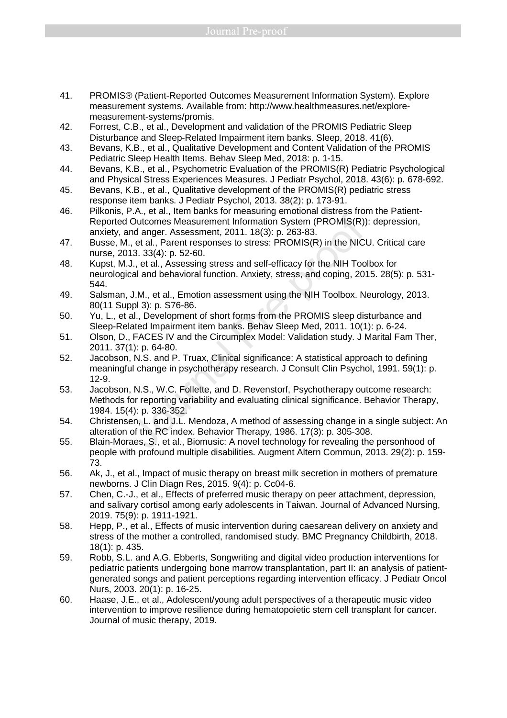- 41. PROMIS® (Patient-Reported Outcomes Measurement Information System). Explore measurement systems. Available from: http://www.healthmeasures.net/exploremeasurement-systems/promis.
- 42. Forrest, C.B., et al., Development and validation of the PROMIS Pediatric Sleep Disturbance and Sleep-Related Impairment item banks. Sleep, 2018. 41(6).
- 43. Bevans, K.B., et al., Qualitative Development and Content Validation of the PROMIS Pediatric Sleep Health Items. Behav Sleep Med, 2018: p. 1-15.
- 44. Bevans, K.B., et al., Psychometric Evaluation of the PROMIS(R) Pediatric Psychological and Physical Stress Experiences Measures. J Pediatr Psychol, 2018. 43(6): p. 678-692.
- 45. Bevans, K.B., et al., Qualitative development of the PROMIS(R) pediatric stress response item banks. J Pediatr Psychol, 2013. 38(2): p. 173-91.
- 46. Pilkonis, P.A., et al., Item banks for measuring emotional distress from the Patient-Reported Outcomes Measurement Information System (PROMIS(R)): depression, anxiety, and anger. Assessment, 2011. 18(3): p. 263-83.
- 47. Busse, M., et al., Parent responses to stress: PROMIS(R) in the NICU. Critical care nurse, 2013. 33(4): p. 52-60.
- 48. Kupst, M.J., et al., Assessing stress and self-efficacy for the NIH Toolbox for neurological and behavioral function. Anxiety, stress, and coping, 2015. 28(5): p. 531- 544.
- 49. Salsman, J.M., et al., Emotion assessment using the NIH Toolbox. Neurology, 2013. 80(11 Suppl 3): p. S76-86.
- 50. Yu, L., et al., Development of short forms from the PROMIS sleep disturbance and Sleep-Related Impairment item banks. Behav Sleep Med, 2011. 10(1): p. 6-24.
- 51. Olson, D., FACES IV and the Circumplex Model: Validation study. J Marital Fam Ther, 2011. 37(1): p. 64-80.
- 52. Jacobson, N.S. and P. Truax, Clinical significance: A statistical approach to defining meaningful change in psychotherapy research. J Consult Clin Psychol, 1991. 59(1): p. 12-9.
- 53. Jacobson, N.S., W.C. Follette, and D. Revenstorf, Psychotherapy outcome research: Methods for reporting variability and evaluating clinical significance. Behavior Therapy, 1984. 15(4): p. 336-352. The Mathemath Source Mathemath System (PROMIS(R)<br>
Outcomes Measurement Information System (PROMIS(R))<br>
nd anger. Assessment, 2011. 18(3): p. 263-83.<br>
, et al., Parent responses to stress: PROMIS(R) in the NICI<br>
13. 33(4):
- 54. Christensen, L. and J.L. Mendoza, A method of assessing change in a single subject: An alteration of the RC index. Behavior Therapy, 1986. 17(3): p. 305-308.
- 55. Blain-Moraes, S., et al., Biomusic: A novel technology for revealing the personhood of people with profound multiple disabilities. Augment Altern Commun, 2013. 29(2): p. 159- 73.
- 56. Ak, J., et al., Impact of music therapy on breast milk secretion in mothers of premature newborns. J Clin Diagn Res, 2015. 9(4): p. Cc04-6.
- 57. Chen, C.-J., et al., Effects of preferred music therapy on peer attachment, depression, and salivary cortisol among early adolescents in Taiwan. Journal of Advanced Nursing, 2019. 75(9): p. 1911-1921.
- 58. Hepp, P., et al., Effects of music intervention during caesarean delivery on anxiety and stress of the mother a controlled, randomised study. BMC Pregnancy Childbirth, 2018. 18(1): p. 435.
- 59. Robb, S.L. and A.G. Ebberts, Songwriting and digital video production interventions for pediatric patients undergoing bone marrow transplantation, part II: an analysis of patientgenerated songs and patient perceptions regarding intervention efficacy. J Pediatr Oncol Nurs, 2003. 20(1): p. 16-25.
- 60. Haase, J.E., et al., Adolescent/young adult perspectives of a therapeutic music video intervention to improve resilience during hematopoietic stem cell transplant for cancer. Journal of music therapy, 2019.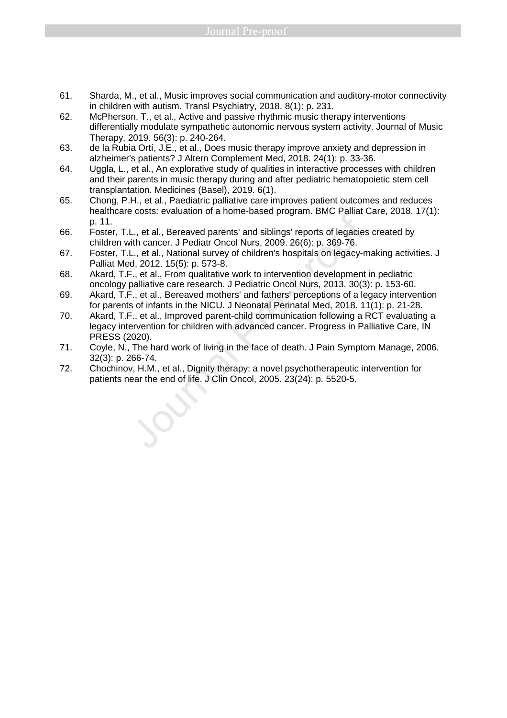- 61. Sharda, M., et al., Music improves social communication and auditory-motor connectivity in children with autism. Transl Psychiatry, 2018. 8(1): p. 231.
- 62. McPherson, T., et al., Active and passive rhythmic music therapy interventions differentially modulate sympathetic autonomic nervous system activity. Journal of Music Therapy, 2019. 56(3): p. 240-264.
- 63. de la Rubia Ortí, J.E., et al., Does music therapy improve anxiety and depression in alzheimer's patients? J Altern Complement Med, 2018. 24(1): p. 33-36.
- 64. Uggla, L., et al., An explorative study of qualities in interactive processes with children and their parents in music therapy during and after pediatric hematopoietic stem cell transplantation. Medicines (Basel), 2019. 6(1).
- 65. Chong, P.H., et al., Paediatric palliative care improves patient outcomes and reduces healthcare costs: evaluation of a home-based program. BMC Palliat Care, 2018. 17(1): p. 11.
- 66. Foster, T.L., et al., Bereaved parents' and siblings' reports of legacies created by children with cancer. J Pediatr Oncol Nurs, 2009. 26(6): p. 369-76.
- 67. Foster, T.L., et al., National survey of children's hospitals on legacy-making activities. J Palliat Med, 2012. 15(5): p. 573-8.
- 68. Akard, T.F., et al., From qualitative work to intervention development in pediatric oncology palliative care research. J Pediatric Oncol Nurs, 2013. 30(3): p. 153-60.
- 69. Akard, T.F., et al., Bereaved mothers' and fathers' perceptions of a legacy intervention for parents of infants in the NICU. J Neonatal Perinatal Med, 2018. 11(1): p. 21-28.
- 70. Akard, T.F., et al., Improved parent-child communication following a RCT evaluating a legacy intervention for children with advanced cancer. Progress in Palliative Care, IN PRESS (2020). ppatient of a Highland Medicine Transfer and Sublings' reports of legacies<br>p. 11.<br>p. 11. Foster, T.L., et al., National survey of children's hospitals on legacy-near<br>children with cancer. J Pediatr Oncol Nurs, 2009. 26(6):
- 71. Coyle, N., The hard work of living in the face of death. J Pain Symptom Manage, 2006. 32(3): p. 266-74.
- 72. Chochinov, H.M., et al., Dignity therapy: a novel psychotherapeutic intervention for patients near the end of life. J Clin Oncol, 2005. 23(24): p. 5520-5.